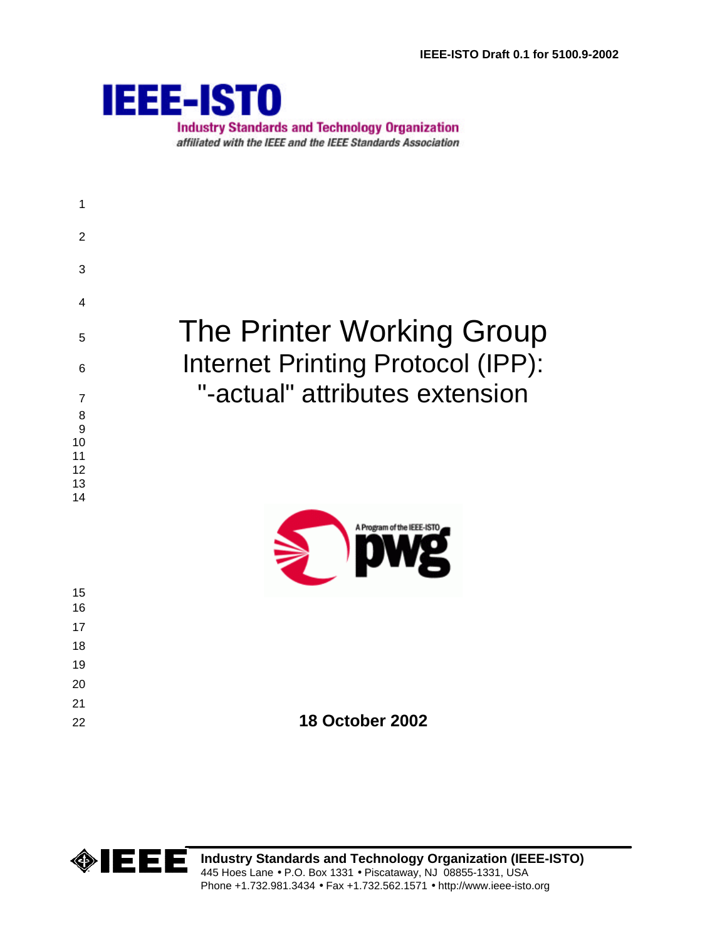





**Industry Standards and Technology Organization (IEEE-ISTO)** 445 Hoes Lane • P.O. Box 1331 • Piscataway, NJ 08855-1331, USA Phone +1.732.981.3434 • Fax +1.732.562.1571 • http://www.ieee-isto.org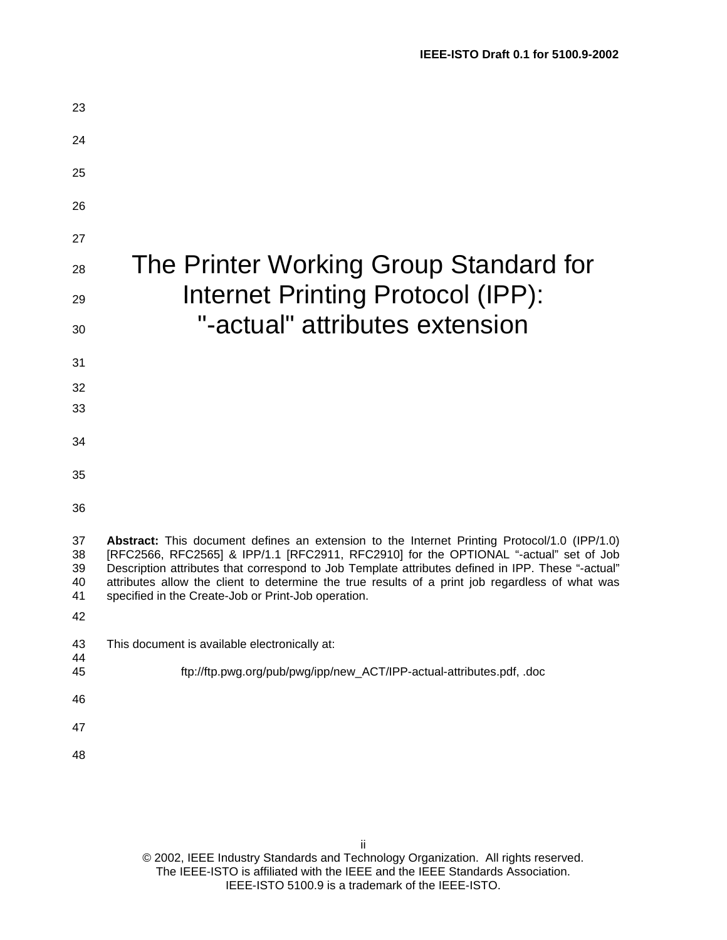| 23                               |                                                                                                                                                                                                                                                                                                                                                                                                                                                      |
|----------------------------------|------------------------------------------------------------------------------------------------------------------------------------------------------------------------------------------------------------------------------------------------------------------------------------------------------------------------------------------------------------------------------------------------------------------------------------------------------|
| 24                               |                                                                                                                                                                                                                                                                                                                                                                                                                                                      |
| 25                               |                                                                                                                                                                                                                                                                                                                                                                                                                                                      |
| 26                               |                                                                                                                                                                                                                                                                                                                                                                                                                                                      |
| 27                               |                                                                                                                                                                                                                                                                                                                                                                                                                                                      |
| 28                               | The Printer Working Group Standard for                                                                                                                                                                                                                                                                                                                                                                                                               |
| 29                               | Internet Printing Protocol (IPP):                                                                                                                                                                                                                                                                                                                                                                                                                    |
| 30                               | "-actual" attributes extension                                                                                                                                                                                                                                                                                                                                                                                                                       |
| 31                               |                                                                                                                                                                                                                                                                                                                                                                                                                                                      |
| 32                               |                                                                                                                                                                                                                                                                                                                                                                                                                                                      |
| 33                               |                                                                                                                                                                                                                                                                                                                                                                                                                                                      |
| 34                               |                                                                                                                                                                                                                                                                                                                                                                                                                                                      |
| 35                               |                                                                                                                                                                                                                                                                                                                                                                                                                                                      |
| 36                               |                                                                                                                                                                                                                                                                                                                                                                                                                                                      |
| 37<br>38<br>39<br>40<br>41<br>42 | Abstract: This document defines an extension to the Internet Printing Protocol/1.0 (IPP/1.0)<br>[RFC2566, RFC2565] & IPP/1.1 [RFC2911, RFC2910] for the OPTIONAL "-actual" set of Job<br>Description attributes that correspond to Job Template attributes defined in IPP. These "-actual"<br>attributes allow the client to determine the true results of a print job regardless of what was<br>specified in the Create-Job or Print-Job operation. |
| 43                               | This document is available electronically at:                                                                                                                                                                                                                                                                                                                                                                                                        |
| 44<br>45                         | ftp://ftp.pwg.org/pub/pwg/ipp/new_ACT/IPP-actual-attributes.pdf, .doc                                                                                                                                                                                                                                                                                                                                                                                |
| 46                               |                                                                                                                                                                                                                                                                                                                                                                                                                                                      |
| 47                               |                                                                                                                                                                                                                                                                                                                                                                                                                                                      |
| 48                               |                                                                                                                                                                                                                                                                                                                                                                                                                                                      |
|                                  |                                                                                                                                                                                                                                                                                                                                                                                                                                                      |

ii © 2002, IEEE Industry Standards and Technology Organization. All rights reserved. The IEEE-ISTO is affiliated with the IEEE and the IEEE Standards Association. IEEE-ISTO 5100.9 is a trademark of the IEEE-ISTO.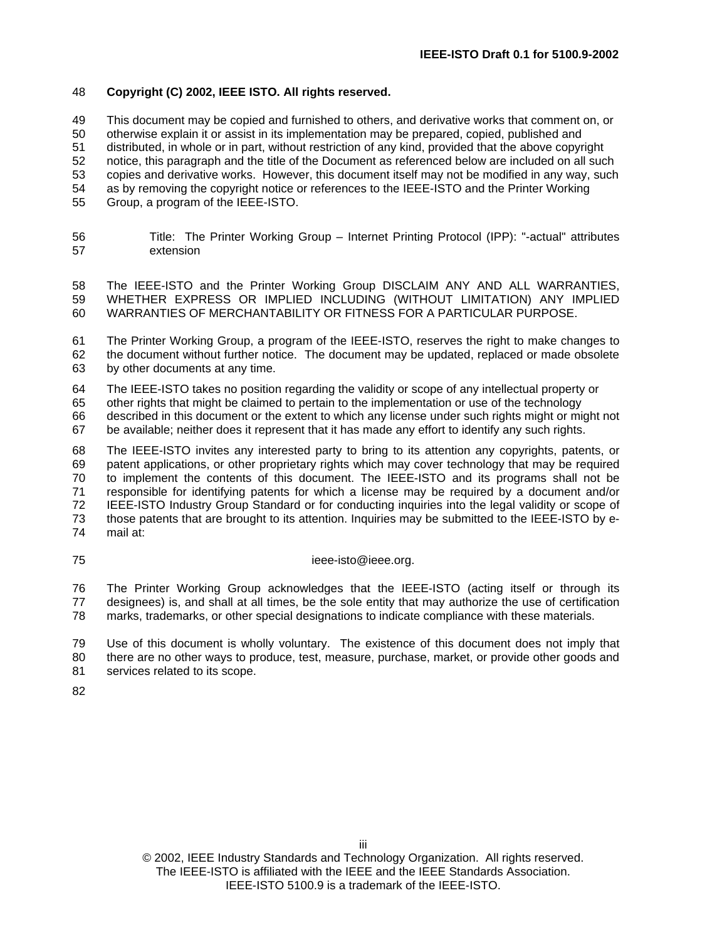### **Copyright (C) 2002, IEEE ISTO. All rights reserved.**

 This document may be copied and furnished to others, and derivative works that comment on, or otherwise explain it or assist in its implementation may be prepared, copied, published and distributed, in whole or in part, without restriction of any kind, provided that the above copyright notice, this paragraph and the title of the Document as referenced below are included on all such copies and derivative works. However, this document itself may not be modified in any way, such as by removing the copyright notice or references to the IEEE-ISTO and the Printer Working Group, a program of the IEEE-ISTO.

 Title: The Printer Working Group – Internet Printing Protocol (IPP): "-actual" attributes extension

 The IEEE-ISTO and the Printer Working Group DISCLAIM ANY AND ALL WARRANTIES, WHETHER EXPRESS OR IMPLIED INCLUDING (WITHOUT LIMITATION) ANY IMPLIED WARRANTIES OF MERCHANTABILITY OR FITNESS FOR A PARTICULAR PURPOSE.

 The Printer Working Group, a program of the IEEE-ISTO, reserves the right to make changes to the document without further notice. The document may be updated, replaced or made obsolete by other documents at any time.

The IEEE-ISTO takes no position regarding the validity or scope of any intellectual property or

other rights that might be claimed to pertain to the implementation or use of the technology

 described in this document or the extent to which any license under such rights might or might not be available; neither does it represent that it has made any effort to identify any such rights.

 The IEEE-ISTO invites any interested party to bring to its attention any copyrights, patents, or patent applications, or other proprietary rights which may cover technology that may be required to implement the contents of this document. The IEEE-ISTO and its programs shall not be responsible for identifying patents for which a license may be required by a document and/or IEEE-ISTO Industry Group Standard or for conducting inquiries into the legal validity or scope of those patents that are brought to its attention. Inquiries may be submitted to the IEEE-ISTO by e-mail at:

#### 75 ieee-isto@ieee.org.

 The Printer Working Group acknowledges that the IEEE-ISTO (acting itself or through its designees) is, and shall at all times, be the sole entity that may authorize the use of certification marks, trademarks, or other special designations to indicate compliance with these materials.

 Use of this document is wholly voluntary. The existence of this document does not imply that there are no other ways to produce, test, measure, purchase, market, or provide other goods and

services related to its scope.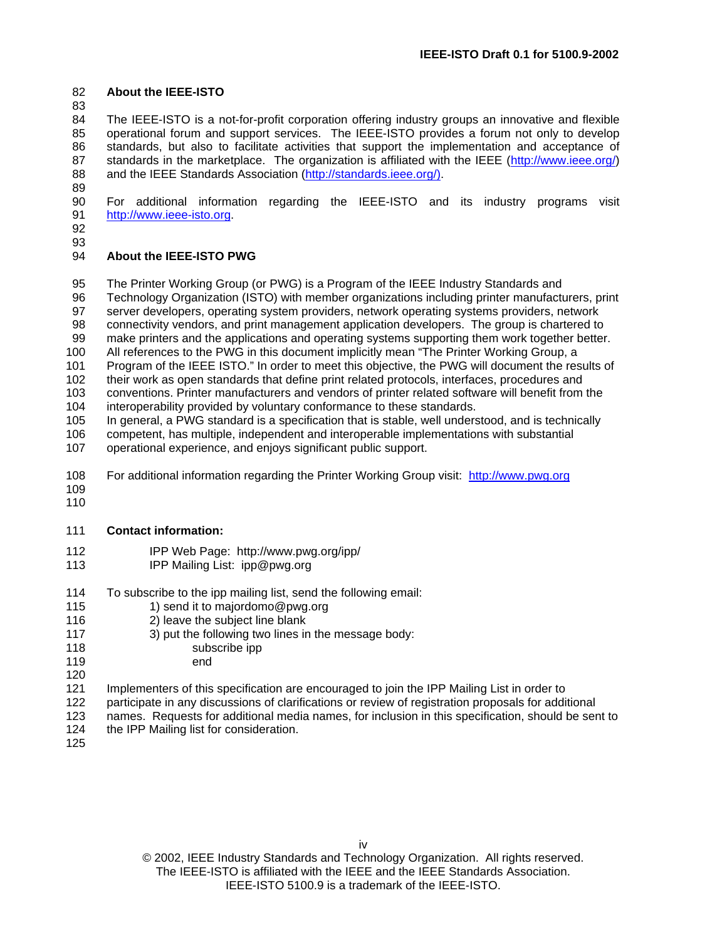### **About the IEEE-ISTO**

 The IEEE-ISTO is a not-for-profit corporation offering industry groups an innovative and flexible operational forum and support services. The IEEE-ISTO provides a forum not only to develop standards, but also to facilitate activities that support the implementation and acceptance of 87 standards in the marketplace. The organization is affiliated with the IEEE (http://www.ieee.org/) 88 and the IEEE Standards Association (http://standards.ieee.org/).

 For additional information regarding the IEEE-ISTO and its industry programs visit http://www.ieee-isto.org.

- 
- 

### **About the IEEE-ISTO PWG**

 The Printer Working Group (or PWG) is a Program of the IEEE Industry Standards and Technology Organization (ISTO) with member organizations including printer manufacturers, print server developers, operating system providers, network operating systems providers, network connectivity vendors, and print management application developers. The group is chartered to make printers and the applications and operating systems supporting them work together better. 100 All references to the PWG in this document implicitly mean "The Printer Working Group, a

Program of the IEEE ISTO." In order to meet this objective, the PWG will document the results of

their work as open standards that define print related protocols, interfaces, procedures and

conventions. Printer manufacturers and vendors of printer related software will benefit from the

interoperability provided by voluntary conformance to these standards.

In general, a PWG standard is a specification that is stable, well understood, and is technically

- competent, has multiple, independent and interoperable implementations with substantial
- operational experience, and enjoys significant public support.
- For additional information regarding the Printer Working Group visit: http://www.pwg.org
- 

### **Contact information:**

- IPP Web Page: http://www.pwg.org/ipp/
- IPP Mailing List: ipp@pwg.org
- To subscribe to the ipp mailing list, send the following email:
- 115 1) send it to majordomo@pwg.org
- 2) leave the subject line blank
- 117 3) put the following two lines in the message body:
- 118 subscribe ipp
- end
- Implementers of this specification are encouraged to join the IPP Mailing List in order to
- participate in any discussions of clarifications or review of registration proposals for additional
- names. Requests for additional media names, for inclusion in this specification, should be sent to
- 124 the IPP Mailing list for consideration.
- 

© 2002, IEEE Industry Standards and Technology Organization. All rights reserved. The IEEE-ISTO is affiliated with the IEEE and the IEEE Standards Association. IEEE-ISTO 5100.9 is a trademark of the IEEE-ISTO.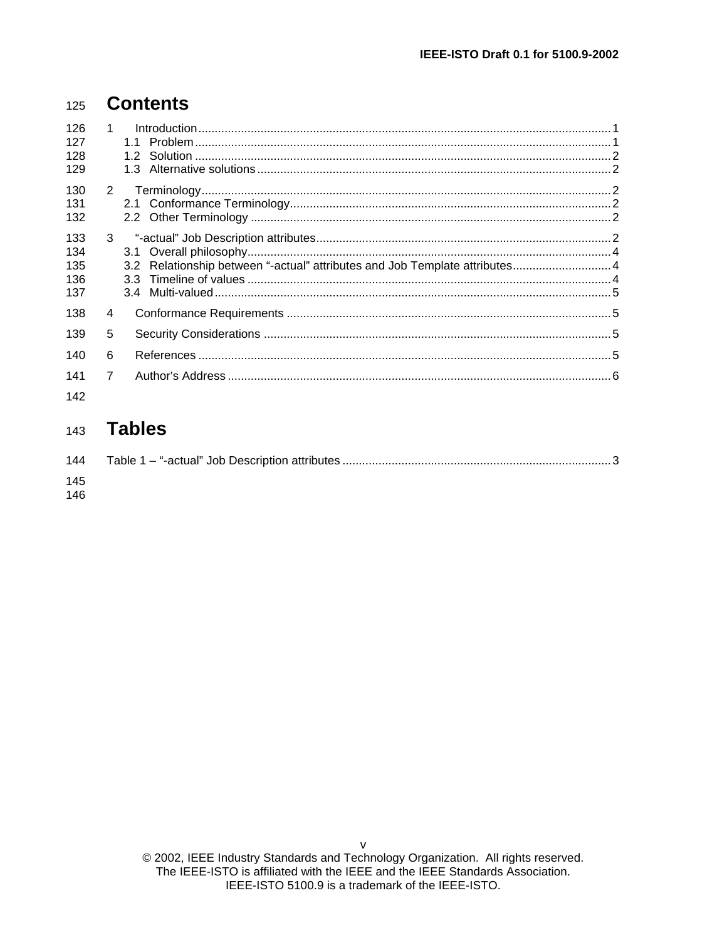#### **Contents** 125

| 126<br>127<br>128               |                | 12                                                                          |  |
|---------------------------------|----------------|-----------------------------------------------------------------------------|--|
| 129                             |                |                                                                             |  |
| 130<br>131<br>132               | 2              |                                                                             |  |
| 133<br>134<br>135<br>136<br>137 | 3              | 3.2 Relationship between "-actual" attributes and Job Template attributes 4 |  |
| 138                             | 4              |                                                                             |  |
| 139                             | 5              |                                                                             |  |
| 140                             | 6              |                                                                             |  |
| 141<br>142                      | $\overline{7}$ |                                                                             |  |

#### **Tables** 143

| 144 |  |
|-----|--|
| 145 |  |

146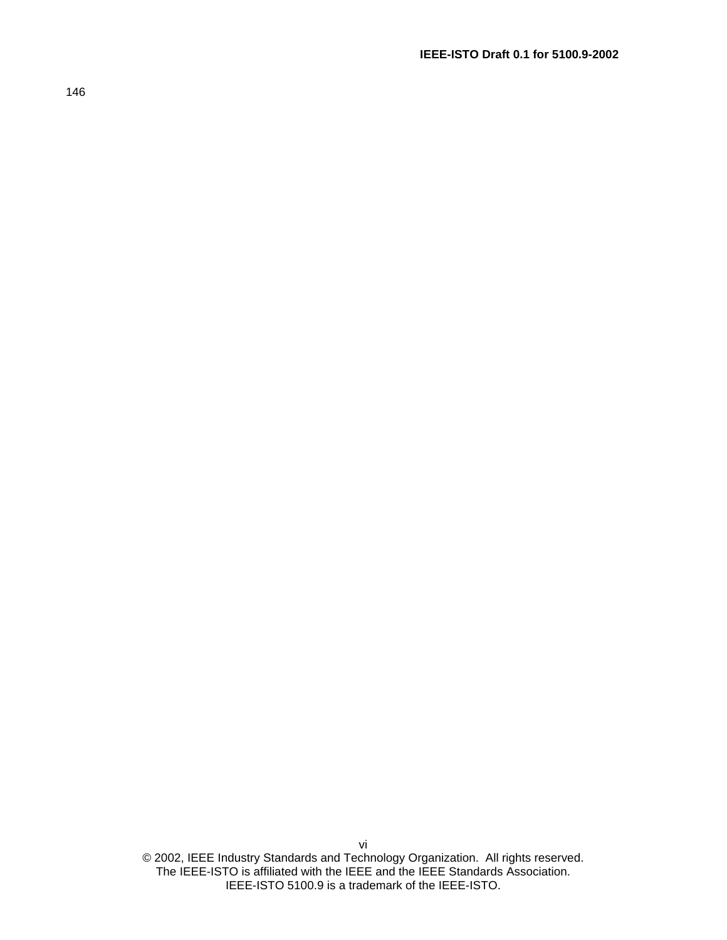© 2002, IEEE Industry Standards and Technology Organization. All rights reserved. The IEEE-ISTO is affiliated with the IEEE and the IEEE Standards Association. IEEE-ISTO 5100.9 is a trademark of the IEEE-ISTO.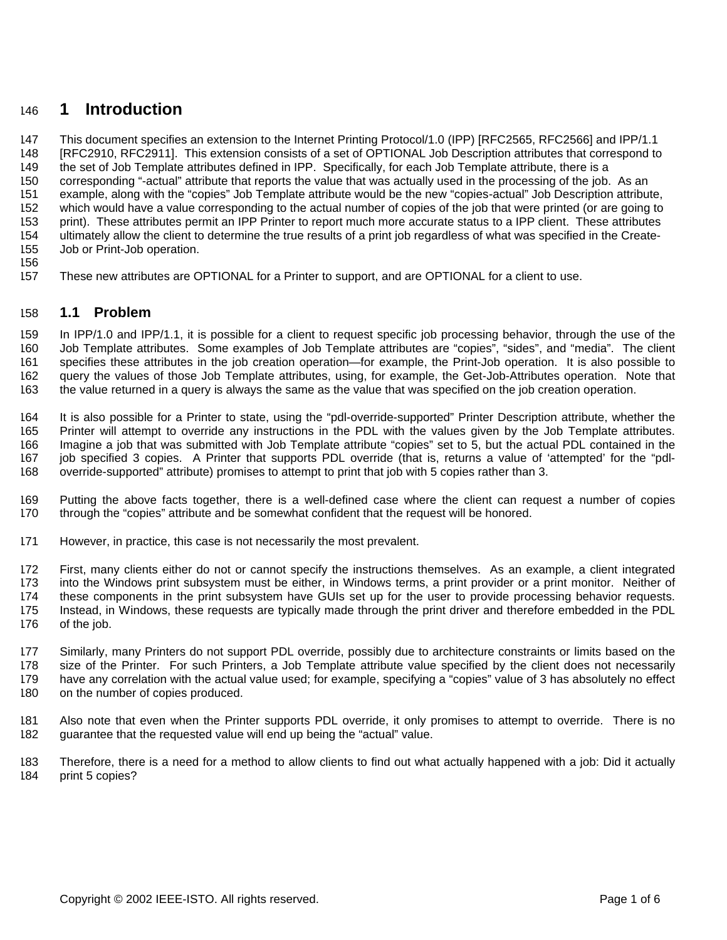# **1 Introduction**

 This document specifies an extension to the Internet Printing Protocol/1.0 (IPP) [RFC2565, RFC2566] and IPP/1.1 [RFC2910, RFC2911]. This extension consists of a set of OPTIONAL Job Description attributes that correspond to the set of Job Template attributes defined in IPP. Specifically, for each Job Template attribute, there is a corresponding "-actual" attribute that reports the value that was actually used in the processing of the job. As an example, along with the "copies" Job Template attribute would be the new "copies-actual" Job Description attribute, which would have a value corresponding to the actual number of copies of the job that were printed (or are going to print). These attributes permit an IPP Printer to report much more accurate status to a IPP client. These attributes ultimately allow the client to determine the true results of a print job regardless of what was specified in the Create-Job or Print-Job operation.

These new attributes are OPTIONAL for a Printer to support, and are OPTIONAL for a client to use.

### **1.1 Problem**

 In IPP/1.0 and IPP/1.1, it is possible for a client to request specific job processing behavior, through the use of the Job Template attributes. Some examples of Job Template attributes are "copies", "sides", and "media". The client specifies these attributes in the job creation operation—for example, the Print-Job operation. It is also possible to query the values of those Job Template attributes, using, for example, the Get-Job-Attributes operation. Note that the value returned in a query is always the same as the value that was specified on the job creation operation.

 It is also possible for a Printer to state, using the "pdl-override-supported" Printer Description attribute, whether the Printer will attempt to override any instructions in the PDL with the values given by the Job Template attributes. Imagine a job that was submitted with Job Template attribute "copies" set to 5, but the actual PDL contained in the job specified 3 copies. A Printer that supports PDL override (that is, returns a value of 'attempted' for the "pdl-override-supported" attribute) promises to attempt to print that job with 5 copies rather than 3.

 Putting the above facts together, there is a well-defined case where the client can request a number of copies through the "copies" attribute and be somewhat confident that the request will be honored.

However, in practice, this case is not necessarily the most prevalent.

 First, many clients either do not or cannot specify the instructions themselves. As an example, a client integrated into the Windows print subsystem must be either, in Windows terms, a print provider or a print monitor. Neither of these components in the print subsystem have GUIs set up for the user to provide processing behavior requests. Instead, in Windows, these requests are typically made through the print driver and therefore embedded in the PDL of the job.

 Similarly, many Printers do not support PDL override, possibly due to architecture constraints or limits based on the size of the Printer. For such Printers, a Job Template attribute value specified by the client does not necessarily have any correlation with the actual value used; for example, specifying a "copies" value of 3 has absolutely no effect on the number of copies produced.

- Also note that even when the Printer supports PDL override, it only promises to attempt to override. There is no guarantee that the requested value will end up being the "actual" value.
- Therefore, there is a need for a method to allow clients to find out what actually happened with a job: Did it actually print 5 copies?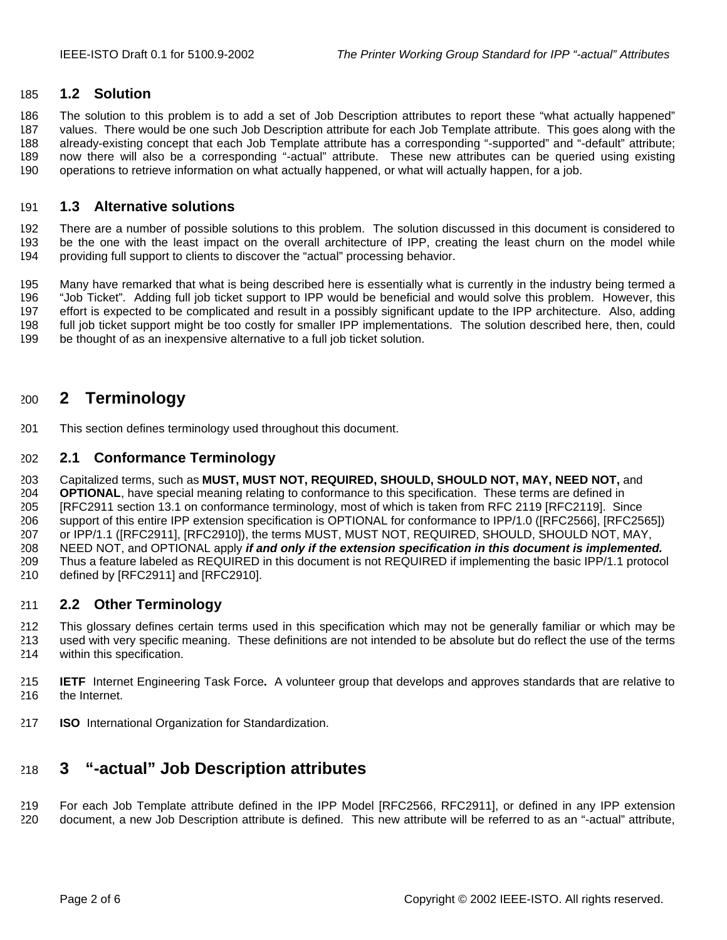### **1.2 Solution**

 The solution to this problem is to add a set of Job Description attributes to report these "what actually happened" values. There would be one such Job Description attribute for each Job Template attribute. This goes along with the already-existing concept that each Job Template attribute has a corresponding "-supported" and "-default" attribute; now there will also be a corresponding "-actual" attribute. These new attributes can be queried using existing operations to retrieve information on what actually happened, or what will actually happen, for a job.

### **1.3 Alternative solutions**

 There are a number of possible solutions to this problem. The solution discussed in this document is considered to be the one with the least impact on the overall architecture of IPP, creating the least churn on the model while providing full support to clients to discover the "actual" processing behavior.

 Many have remarked that what is being described here is essentially what is currently in the industry being termed a "Job Ticket". Adding full job ticket support to IPP would be beneficial and would solve this problem. However, this effort is expected to be complicated and result in a possibly significant update to the IPP architecture. Also, adding full job ticket support might be too costly for smaller IPP implementations. The solution described here, then, could be thought of as an inexpensive alternative to a full job ticket solution.

# **2 Terminology**

This section defines terminology used throughout this document.

### **2.1 Conformance Terminology**

 Capitalized terms, such as **MUST, MUST NOT, REQUIRED, SHOULD, SHOULD NOT, MAY, NEED NOT,** and **OPTIONAL**, have special meaning relating to conformance to this specification. These terms are defined in [RFC2911 section 13.1 on conformance terminology, most of which is taken from RFC 2119 [RFC2119]. Since support of this entire IPP extension specification is OPTIONAL for conformance to IPP/1.0 ([RFC2566], [RFC2565]) or IPP/1.1 ([RFC2911], [RFC2910]), the terms MUST, MUST NOT, REQUIRED, SHOULD, SHOULD NOT, MAY, NEED NOT, and OPTIONAL apply *if and only if the extension specification in this document is implemented.* Thus a feature labeled as REQUIRED in this document is not REQUIRED if implementing the basic IPP/1.1 protocol defined by [RFC2911] and [RFC2910].

### **2.2 Other Terminology**

 This glossary defines certain terms used in this specification which may not be generally familiar or which may be used with very specific meaning. These definitions are not intended to be absolute but do reflect the use of the terms within this specification.

 **IETF** Internet Engineering Task Force**.** A volunteer group that develops and approves standards that are relative to 216 the Internet.

**ISO** International Organization for Standardization.

# **3 "-actual" Job Description attributes**

 For each Job Template attribute defined in the IPP Model [RFC2566, RFC2911], or defined in any IPP extension document, a new Job Description attribute is defined. This new attribute will be referred to as an "-actual" attribute,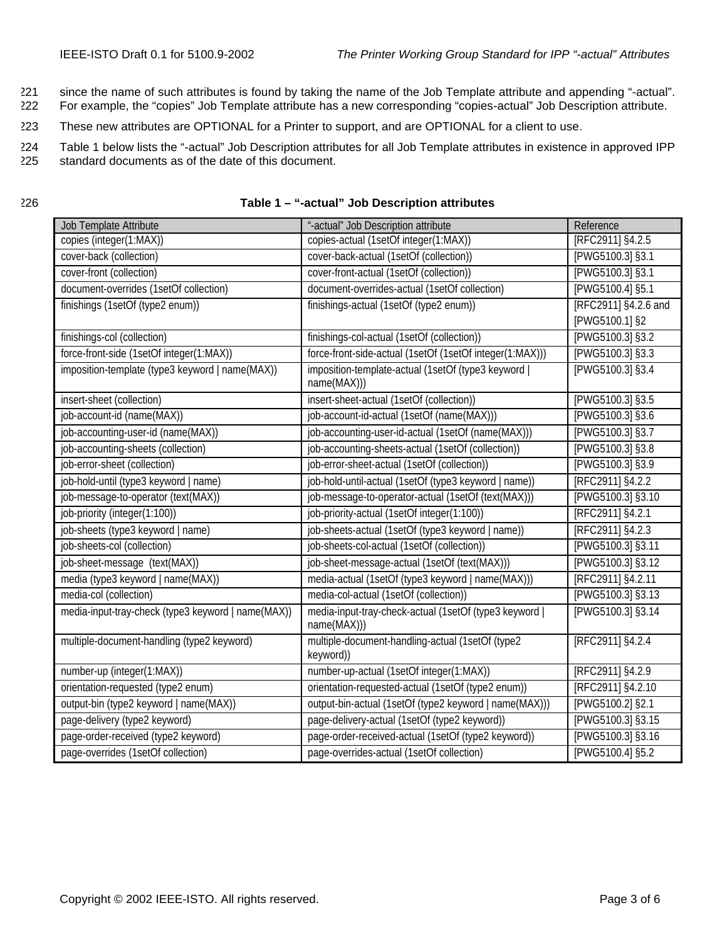- 221 since the name of such attributes is found by taking the name of the Job Template attribute and appending "-actual". 222 For example, the "copies" Job Template attribute has a new corresponding "copies-actual" Job Description attribute.
- 
- 223 These new attributes are OPTIONAL for a Printer to support, and are OPTIONAL for a client to use.
- 224 Table 1 below lists the "-actual" Job Description attributes for all Job Template attributes in existence in approved IPP 225 standard documents as of the date of this document.

### 226 **Table 1 – "-actual" Job Description attributes**

| Job Template Attribute                             | "-actual" Job Description attribute                                 | Reference            |
|----------------------------------------------------|---------------------------------------------------------------------|----------------------|
| copies (integer(1:MAX))                            | copies-actual (1setOf integer(1:MAX))                               | [RFC2911] §4.2.5     |
| cover-back (collection)                            | cover-back-actual (1setOf (collection))                             | [PWG5100.3] §3.1     |
| cover-front (collection)                           | cover-front-actual (1setOf (collection))                            | [PWG5100.3] §3.1     |
| document-overrides (1setOf collection)             | document-overrides-actual (1setOf collection)                       | [PWG5100.4] §5.1     |
| finishings (1setOf (type2 enum))                   | finishings-actual (1setOf (type2 enum))                             | [RFC2911] §4.2.6 and |
|                                                    |                                                                     | [PWG5100.1] §2       |
| finishings-col (collection)                        | finishings-col-actual (1setOf (collection))                         | [PWG5100.3] §3.2     |
| force-front-side (1setOf integer(1:MAX))           | force-front-side-actual (1setOf (1setOf integer(1:MAX)))            | [PWG5100.3] §3.3     |
| imposition-template (type3 keyword   name(MAX))    | imposition-template-actual (1setOf (type3 keyword  <br>name(MAX)))  | [PWG5100.3] §3.4     |
| insert-sheet (collection)                          | insert-sheet-actual (1setOf (collection))                           | [PWG5100.3] §3.5     |
| job-account-id (name(MAX))                         | job-account-id-actual (1setOf (name(MAX)))                          | [PWG5100.3] §3.6     |
| job-accounting-user-id (name(MAX))                 | job-accounting-user-id-actual (1setOf (name(MAX)))                  | [PWG5100.3] §3.7     |
| job-accounting-sheets (collection)                 | job-accounting-sheets-actual (1setOf (collection))                  | [PWG5100.3] §3.8     |
| job-error-sheet (collection)                       | job-error-sheet-actual (1setOf (collection))                        | [PWG5100.3] §3.9     |
| job-hold-until (type3 keyword   name)              | job-hold-until-actual (1setOf (type3 keyword   name))               | [RFC2911] §4.2.2     |
| job-message-to-operator (text(MAX))                | job-message-to-operator-actual (1setOf (text(MAX)))                 | [PWG5100.3] §3.10    |
| job-priority (integer(1:100))                      | job-priority-actual (1setOf integer(1:100))                         | [RFC2911] §4.2.1     |
| job-sheets (type3 keyword   name)                  | job-sheets-actual (1setOf (type3 keyword   name))                   | [RFC2911] §4.2.3     |
| job-sheets-col (collection)                        | job-sheets-col-actual (1setOf (collection))                         | [PWG5100.3] §3.11    |
| job-sheet-message (text(MAX))                      | job-sheet-message-actual (1setOf (text(MAX)))                       | [PWG5100.3] §3.12    |
| media (type3 keyword   name(MAX))                  | media-actual (1setOf (type3 keyword   name(MAX)))                   | [RFC2911] §4.2.11    |
| media-col (collection)                             | media-col-actual (1setOf (collection))                              | [PWG5100.3] §3.13    |
| media-input-tray-check (type3 keyword   name(MAX)) | media-input-tray-check-actual (1setOf (type3 keyword<br>name(MAX))) | [PWG5100.3] §3.14    |
| multiple-document-handling (type2 keyword)         | multiple-document-handling-actual (1setOf (type2<br>keyword))       | [RFC2911] §4.2.4     |
| number-up (integer(1:MAX))                         | number-up-actual (1setOf integer(1:MAX))                            | [RFC2911] §4.2.9     |
| orientation-requested (type2 enum)                 | orientation-requested-actual (1setOf (type2 enum))                  | [RFC2911] §4.2.10    |
| output-bin (type2 keyword   name(MAX))             | output-bin-actual (1setOf (type2 keyword   name(MAX)))              | [PWG5100.2] §2.1     |
| page-delivery (type2 keyword)                      | page-delivery-actual (1setOf (type2 keyword))                       | [PWG5100.3] §3.15    |
| page-order-received (type2 keyword)                | page-order-received-actual (1setOf (type2 keyword))                 | [PWG5100.3] §3.16    |
| page-overrides (1setOf collection)                 | page-overrides-actual (1setOf collection)                           | [PWG5100.4] §5.2     |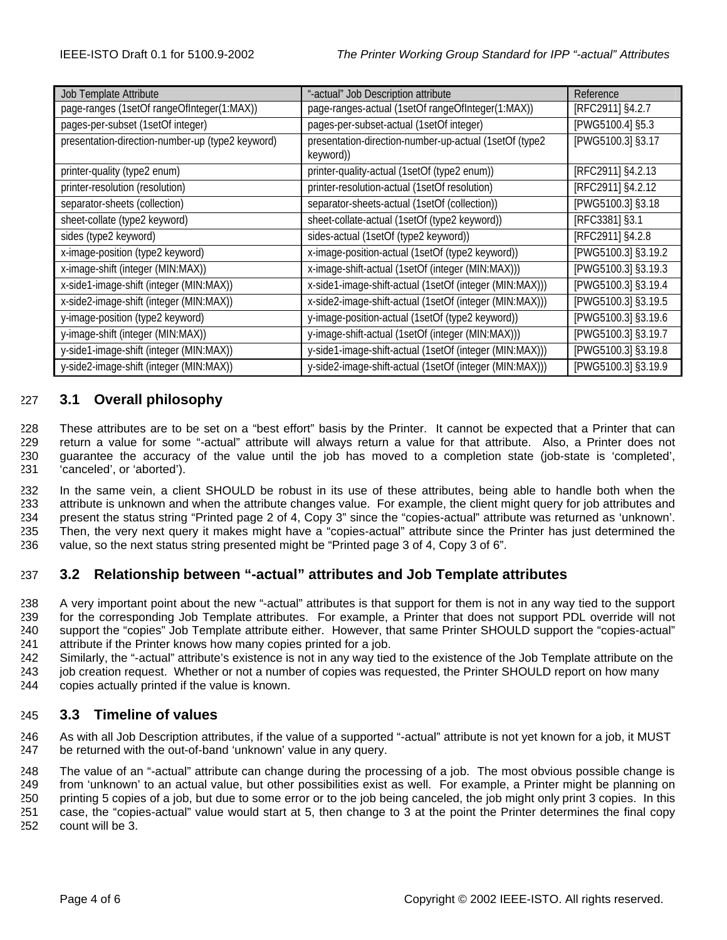| Job Template Attribute                           | "-actual" Job Description attribute                                 | Reference           |
|--------------------------------------------------|---------------------------------------------------------------------|---------------------|
| page-ranges (1setOf rangeOfInteger(1:MAX))       | page-ranges-actual (1setOf rangeOfInteger(1:MAX))                   | [RFC2911] §4.2.7    |
| pages-per-subset (1setOf integer)                | pages-per-subset-actual (1setOf integer)                            | [PWG5100.4] §5.3    |
| presentation-direction-number-up (type2 keyword) | presentation-direction-number-up-actual (1setOf (type2<br>keyword)) | [PWG5100.3] §3.17   |
| printer-quality (type2 enum)                     | printer-quality-actual (1setOf (type2 enum))                        | [RFC2911] §4.2.13   |
| printer-resolution (resolution)                  | printer-resolution-actual (1setOf resolution)                       | [RFC2911] §4.2.12   |
| separator-sheets (collection)                    | separator-sheets-actual (1setOf (collection))                       | [PWG5100.3] §3.18   |
| sheet-collate (type2 keyword)                    | sheet-collate-actual (1setOf (type2 keyword))                       | [RFC3381] §3.1      |
| sides (type2 keyword)                            | sides-actual (1setOf (type2 keyword))                               | [RFC2911] §4.2.8    |
| x-image-position (type2 keyword)                 | x-image-position-actual (1setOf (type2 keyword))                    | [PWG5100.3] §3.19.2 |
| x-image-shift (integer (MIN:MAX))                | x-image-shift-actual (1setOf (integer (MIN:MAX)))                   | [PWG5100.3] §3.19.3 |
| x-side1-image-shift (integer (MIN:MAX))          | x-side1-image-shift-actual (1setOf (integer (MIN:MAX)))             | [PWG5100.3] §3.19.4 |
| x-side2-image-shift (integer (MIN:MAX))          | x-side2-image-shift-actual (1setOf (integer (MIN:MAX)))             | [PWG5100.3] §3.19.5 |
| y-image-position (type2 keyword)                 | y-image-position-actual (1setOf (type2 keyword))                    | [PWG5100.3] §3.19.6 |
| y-image-shift (integer (MIN:MAX))                | y-image-shift-actual (1setOf (integer (MIN:MAX)))                   | [PWG5100.3] §3.19.7 |
| y-side1-image-shift (integer (MIN:MAX))          | y-side1-image-shift-actual (1setOf (integer (MIN:MAX)))             | [PWG5100.3] §3.19.8 |
| y-side2-image-shift (integer (MIN:MAX))          | y-side2-image-shift-actual (1setOf (integer (MIN:MAX)))             | [PWG5100.3] §3.19.9 |

## 227 **3.1 Overall philosophy**

 These attributes are to be set on a "best effort" basis by the Printer. It cannot be expected that a Printer that can return a value for some "-actual" attribute will always return a value for that attribute. Also, a Printer does not guarantee the accuracy of the value until the job has moved to a completion state (job-state is 'completed', 'canceled', or 'aborted').

 In the same vein, a client SHOULD be robust in its use of these attributes, being able to handle both when the attribute is unknown and when the attribute changes value. For example, the client might query for job attributes and present the status string "Printed page 2 of 4, Copy 3" since the "copies-actual" attribute was returned as 'unknown'. 235 Then, the very next query it makes might have a "copies-actual" attribute since the Printer has just determined the value, so the next status string presented might be "Printed page 3 of 4, Copy 3 of 6".

## 237 **3.2 Relationship between "-actual" attributes and Job Template attributes**

 A very important point about the new "-actual" attributes is that support for them is not in any way tied to the support for the corresponding Job Template attributes. For example, a Printer that does not support PDL override will not support the "copies" Job Template attribute either. However, that same Printer SHOULD support the "copies-actual" 241 attribute if the Printer knows how many copies printed for a job.

242 Similarly, the "-actual" attribute's existence is not in any way tied to the existence of the Job Template attribute on the 243 job creation request. Whether or not a number of copies was requested, the Printer SHOULD report on how many

244 copies actually printed if the value is known.

## 245 **3.3 Timeline of values**

246 As with all Job Description attributes, if the value of a supported "-actual" attribute is not yet known for a job, it MUST 247 be returned with the out-of-band 'unknown' value in any query.

 The value of an "-actual" attribute can change during the processing of a job. The most obvious possible change is from 'unknown' to an actual value, but other possibilities exist as well. For example, a Printer might be planning on printing 5 copies of a job, but due to some error or to the job being canceled, the job might only print 3 copies. In this case, the "copies-actual" value would start at 5, then change to 3 at the point the Printer determines the final copy count will be 3.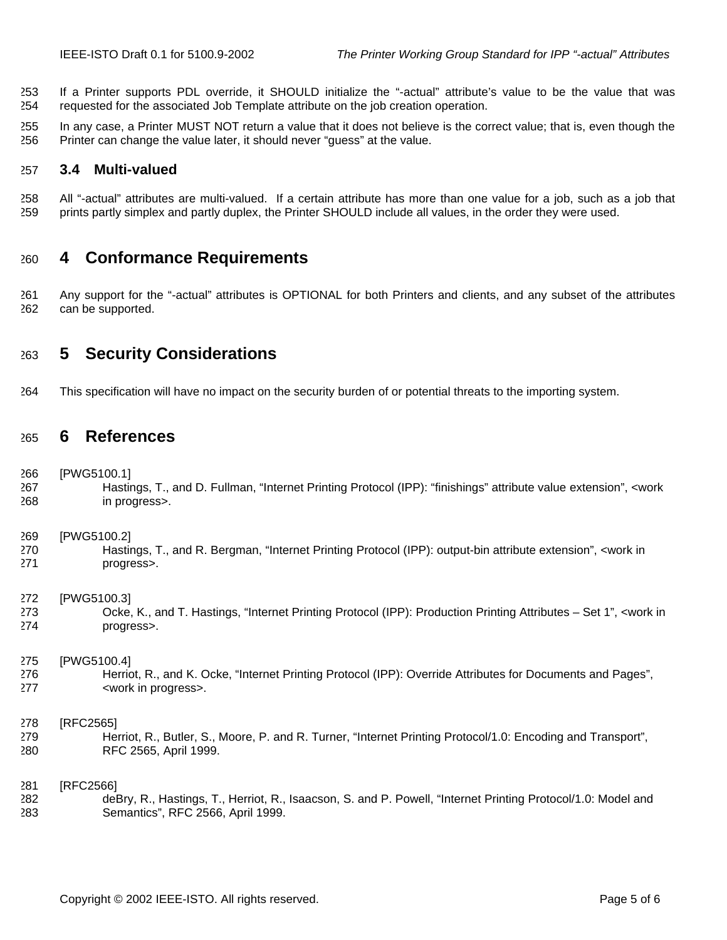- If a Printer supports PDL override, it SHOULD initialize the "-actual" attribute's value to be the value that was requested for the associated Job Template attribute on the job creation operation.
- In any case, a Printer MUST NOT return a value that it does not believe is the correct value; that is, even though the Printer can change the value later, it should never "guess" at the value.

### **3.4 Multi-valued**

 All "-actual" attributes are multi-valued. If a certain attribute has more than one value for a job, such as a job that prints partly simplex and partly duplex, the Printer SHOULD include all values, in the order they were used.

# **4 Conformance Requirements**

 Any support for the "-actual" attributes is OPTIONAL for both Printers and clients, and any subset of the attributes can be supported.

# **5 Security Considerations**

This specification will have no impact on the security burden of or potential threats to the importing system.

## **6 References**

 [PWG5100.1] Hastings, T., and D. Fullman, "Internet Printing Protocol (IPP): "finishings" attribute value extension", <work in progress>.

[PWG5100.2]

- Hastings, T., and R. Bergman, "Internet Printing Protocol (IPP): output-bin attribute extension", <work in progress>.
- [PWG5100.3]
- Ocke, K., and T. Hastings, "Internet Printing Protocol (IPP): Production Printing Attributes Set 1", <work in progress>.

[PWG5100.4]

 Herriot, R., and K. Ocke, "Internet Printing Protocol (IPP): Override Attributes for Documents and Pages", <work in progress>.

#### [RFC2565]

 Herriot, R., Butler, S., Moore, P. and R. Turner, "Internet Printing Protocol/1.0: Encoding and Transport", RFC 2565, April 1999.

[RFC2566]

 deBry, R., Hastings, T., Herriot, R., Isaacson, S. and P. Powell, "Internet Printing Protocol/1.0: Model and Semantics", RFC 2566, April 1999.